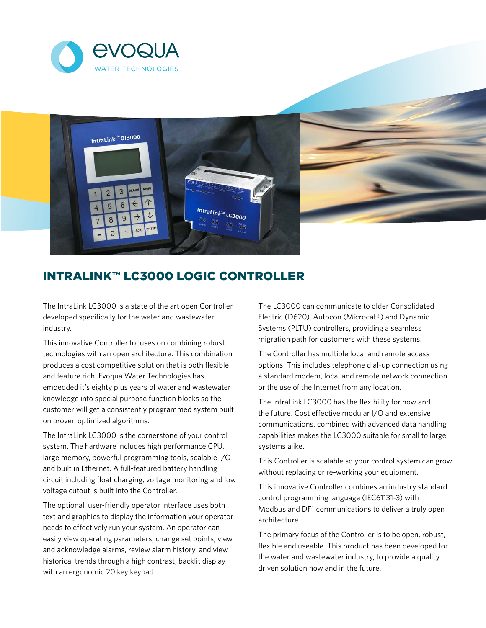



## IntraLink™ LC3000 Logic Controller

The IntraLink LC3000 is a state of the art open Controller developed specifically for the water and wastewater industry.

This innovative Controller focuses on combining robust technologies with an open architecture. This combination produces a cost competitive solution that is both flexible and feature rich. Evoqua Water Technologies has embedded it's eighty plus years of water and wastewater knowledge into special purpose function blocks so the customer will get a consistently programmed system built on proven optimized algorithms.

The IntraLink LC3000 is the cornerstone of your control system. The hardware includes high performance CPU, large memory, powerful programming tools, scalable I/O and built in Ethernet. A full-featured battery handling circuit including float charging, voltage monitoring and low voltage cutout is built into the Controller.

The optional, user-friendly operator interface uses both text and graphics to display the information your operator needs to effectively run your system. An operator can easily view operating parameters, change set points, view and acknowledge alarms, review alarm history, and view historical trends through a high contrast, backlit display with an ergonomic 20 key keypad.

The LC3000 can communicate to older Consolidated Electric (D620), Autocon (Microcat®) and Dynamic Systems (PLTU) controllers, providing a seamless migration path for customers with these systems.

The Controller has multiple local and remote access options. This includes telephone dial-up connection using a standard modem, local and remote network connection or the use of the Internet from any location.

The IntraLink LC3000 has the flexibility for now and the future. Cost effective modular I/O and extensive communications, combined with advanced data handling capabilities makes the LC3000 suitable for small to large systems alike.

This Controller is scalable so your control system can grow without replacing or re-working your equipment.

This innovative Controller combines an industry standard control programming language (IEC61131-3) with Modbus and DF1 communications to deliver a truly open architecture.

The primary focus of the Controller is to be open, robust, flexible and useable. This product has been developed for the water and wastewater industry, to provide a quality driven solution now and in the future.